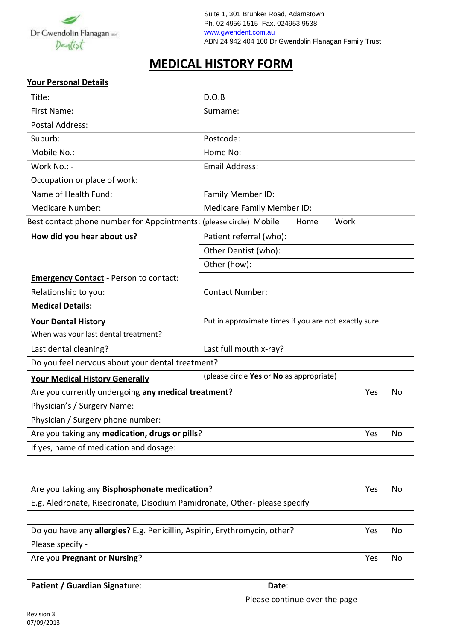

## **MEDICAL HISTORY FORM**

## **Your Personal Details**

| Title:                                                                    | D.O.B                                                |     |    |
|---------------------------------------------------------------------------|------------------------------------------------------|-----|----|
| First Name:                                                               | Surname:                                             |     |    |
| Postal Address:                                                           |                                                      |     |    |
| Suburb:                                                                   | Postcode:                                            |     |    |
| Mobile No.:                                                               | Home No:                                             |     |    |
| Work No.: -                                                               | <b>Email Address:</b>                                |     |    |
| Occupation or place of work:                                              |                                                      |     |    |
| Name of Health Fund:                                                      | Family Member ID:                                    |     |    |
| <b>Medicare Number:</b>                                                   | <b>Medicare Family Member ID:</b>                    |     |    |
| Best contact phone number for Appointments: (please circle) Mobile        | Work<br>Home                                         |     |    |
| How did you hear about us?                                                | Patient referral (who):                              |     |    |
|                                                                           | Other Dentist (who):                                 |     |    |
|                                                                           | Other (how):                                         |     |    |
| <b>Emergency Contact - Person to contact:</b>                             |                                                      |     |    |
| Relationship to you:                                                      | <b>Contact Number:</b>                               |     |    |
| <b>Medical Details:</b>                                                   |                                                      |     |    |
| <b>Your Dental History</b>                                                | Put in approximate times if you are not exactly sure |     |    |
| When was your last dental treatment?                                      |                                                      |     |    |
| Last dental cleaning?                                                     | Last full mouth x-ray?                               |     |    |
| Do you feel nervous about your dental treatment?                          |                                                      |     |    |
| <b>Your Medical History Generally</b>                                     | (please circle Yes or No as appropriate)             |     |    |
| Are you currently undergoing any medical treatment?                       |                                                      | Yes | Νo |
| Physician's / Surgery Name:                                               |                                                      |     |    |
| Physician / Surgery phone number:                                         |                                                      |     |    |
| Are you taking any medication, drugs or pills?                            |                                                      | Yes | No |
| If yes, name of medication and dosage:                                    |                                                      |     |    |
|                                                                           |                                                      |     |    |
|                                                                           |                                                      |     |    |
| Are you taking any Bisphosphonate medication?                             |                                                      | Yes | No |
| E.g. Aledronate, Risedronate, Disodium Pamidronate, Other- please specify |                                                      |     |    |
|                                                                           |                                                      |     |    |
| Do you have any allergies? E.g. Penicillin, Aspirin, Erythromycin, other? |                                                      | Yes | No |
| Please specify -                                                          |                                                      |     |    |
| Are you Pregnant or Nursing?                                              |                                                      | Yes | No |
|                                                                           |                                                      |     |    |
| Patient / Guardian Signature:                                             | Date:                                                |     |    |